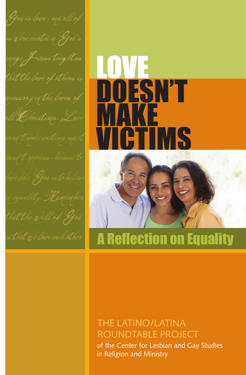all Christians.Love

# LOVE DOESN'T MAKE **ICTIMS**



## is that we love each other  $\blacksquare$  A Reflection on Equality

#### of the Center for Lesbian and Gay Studies in Religion and Ministry THE LATINO/LATINA ROUNDTABLE PROJECT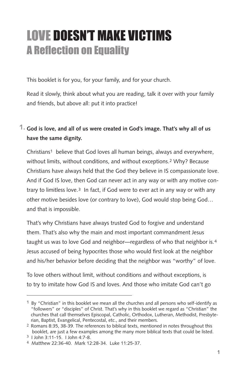### LOVE DOESN'T MAKE VICTIMS A Reflection on Equality

This booklet is for you, for your family, and for your church.

Read it slowly, think about what you are reading, talk it over with your family and friends, but above all: put it into practice!

#### **God is love, and all of us were created in God's image. That's why all of us 1. have the same dignity.**

Christians1 believe that God loves all human beings, always and everywhere, without limits, without conditions, and without exceptions.2 Why? Because Christians have always held that the God they believe in IS compassionate love. And if God IS love, then God can never act in any way or with any motive contrary to limitless love.3 In fact, if God were to ever act in any way or with any other motive besides love (or contrary to love), God would stop being God… and that is impossible.

That's why Christians have always trusted God to forgive and understand them. That's also why the main and most important commandment Jesus taught us was to love God and neighbor—regardless of who that neighbor is.4 Jesus accused of being hypocrites those who would first look at the neighbor and his/her behavior before deciding that the neighbor was "worthy" of love.

To love others without limit, without conditions and without exceptions, is to try to imitate how God IS and loves. And those who imitate God can't go

 $1$  By "Christian" in this booklet we mean all the churches and all persons who self-identify as "followers" or "disciples" of Christ. That's why in this booklet we regard as "Christian" the churches that call themselves Episcopal, Catholic, Orthodox, Lutheran, Methodist, Presbyterian, Baptist, Evangelical, Pentecostal, etc., and their members.

<sup>2</sup> Romans 8:35, 38-39. The references to biblical texts, mentioned in notes throughout this booklet, are just a few examples among the many more biblical texts that could be listed.

<sup>3</sup> I John 3:11-15. I John 4:7-8.

<sup>4</sup> Matthew 22:36-40. Mark 12:28-34. Luke 11:25-37.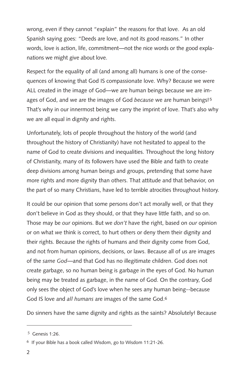wrong, even if they cannot "explain" the reasons for that love. As an old Spanish saying goes: "Deeds are love, and not its good reasons." In other words, love is action, life, commitment—not the nice words or the good explanations we might give about love.

Respect for the equality of all (and among all) humans is one of the consequences of knowing that God IS compassionate love. Why? Because we were ALL created in the image of God—we are human beings because we are images of God, and we are the images of God *because* we are human beings!5 That's why in our innermost being we carry the imprint of love. That's also why we are all equal in dignity and rights.

Unfortunately, lots of people throughout the history of the world (and throughout the history of Christianity) have not hesitated to appeal to the name of God to create divisions and inequalities. Throughout the long history of Christianity, many of its followers have used the Bible and faith to create deep divisions among human beings and groups, pretending that some have more rights and more dignity than others. That attitude and that behavior, on the part of so many Christians, have led to terrible atrocities throughout history.

It could be our opinion that some persons don't act morally well, or that they don't believe in God as they should, or that they have little faith, and so on. Those may be *our* opinions. But we *don't* have the right, based on *our* opinion or on what *we* think is correct, to hurt others or deny them their dignity and their rights. Because the rights of humans and their dignity come from God, and not from human opinions, decisions, or laws. Because all of us are images of the *same God*—and that God has no illegitimate children. God does not create garbage, so no human being is garbage in the eyes of God. No human being may be treated as garbage, in the name of God. On the contrary, God only sees the object of God's love when he sees any human being--because God IS love and *all humans* are images of the same God.6

Do sinners have the same dignity and rights as the saints? Absolutely! Because

 <sup>5</sup> Genesis 1:26.

<sup>6</sup> If your Bible has a book called Wisdom, go to Wisdom 11:21-26.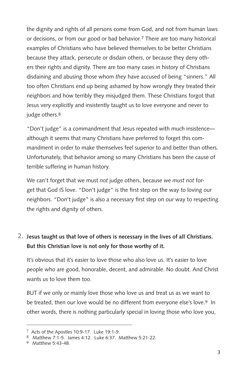the dignity and rights of all persons come from God, and not from human laws or decisions, or from our good or bad behavior.<sup>7</sup> There are too many historical examples of Christians who have believed themselves to be better Christians because they attack, persecute or disdain others, or because they deny others their rights and dignity. There are too many cases in history of Christians disdaining and abusing those whom *they* have accused of being "sinners." All too often Christians end up being ashamed by how wrongly they treated their neighbors and how terribly they misjudged them. These Christians forgot that Jesus very explicitly and insistently taught us to love everyone and never to judge others.<sup>8</sup>

"Don't judge" is a commandment that Jesus repeated with much insistence although it seems that many Christians have preferred to forget this commandment in order to make themselves feel superior to and better than others. Unfortunately, that behavior among so many Christians has been the cause of terrible suffering in human history.

We can't forget that we must *not* judge others, because we *must not* forget that God IS love. "Don't judge" is the first step on the way to loving our neighbors. "Don't judge" is also a necessary first step on our way to respecting the rights and dignity of others.

#### **Jesus taught us that love of others is necessary in the lives of all Christians. 2. But this Christian love is not only for those worthy of it.**

It's obvious that it's easier to love those who also love us. It's easier to love people who are good, honorable, decent, and admirable. No doubt. And Christ wants us to love them too.

BUT if we only or mainly love those who love us and treat us as we want to be treated, then our love would be no different from everyone else's love.<sup>9</sup> In other words, there is nothing particularly special in loving those who love you,

<sup>7</sup> Acts of the Apostles 10:9-17. Luke 19:1-9.

<sup>8</sup> Matthew 7:1-5. James 4:12. Luke 6:37. Matthew 5:21-22.

<sup>9</sup> Matthew 5:43-48.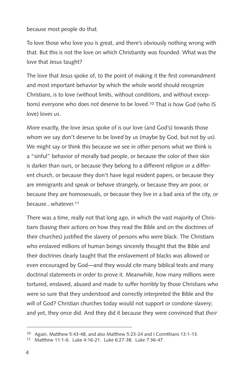because most people do that.

To love those who love you is great, and there's obviously nothing wrong with that. But this is not the love on which Christianity was founded. What was the love that Jesus taught?

The love that Jesus spoke of, to the point of making it the first commandment and most important behavior by which the whole world should recognize Christians, is to love (without limits, without conditions, and without exceptions) everyone who does *not* deserve to be loved.10 That is how God (who IS love) loves *us*.

More exactly, the love Jesus spoke of is our love (and God's) towards those whom *we* say don't deserve to be loved by us (maybe by God, but not by us). We might say or think this because we see in other persons what we think is a "sinful" behavior of morally bad people, or because the color of their skin is darker than ours, or because they belong to a different religion or a different church, or because they don't have legal resident papers, or because they are immigrants and speak or behave strangely, or because they are poor, or because they are homosexuals, or because they live in a bad area of the city, or because...whatever.11

There was a time, really not that long ago, in which the vast majority of Christians (basing their actions on how they read the Bible and on the doctrines of their churches) justified the slavery of persons who were black. The Christians who enslaved millions of human beings sincerely thought that the Bible and their doctrines clearly taught that the enslavement of blacks was allowed or even encouraged by God—and they would cite many biblical texts and many doctrinal statements in order to prove it. Meanwhile, how many millions were tortured, enslaved, abused and made to suffer horribly by those Christians who were so sure that they understood and correctly interpreted the Bible and the will of God? Christian churches today would not support or condone slavery; and yet, they once did. And they did it because they were convinced that *their* 

<sup>10</sup> Again, Matthew 5:43-48, and also Matthew 5:23-24 and I Corinthians 13:1-13.

<sup>11</sup> Matthew 11:1-6. Luke 4:16-21. Luke 6:27-38. Luke 7:36-47.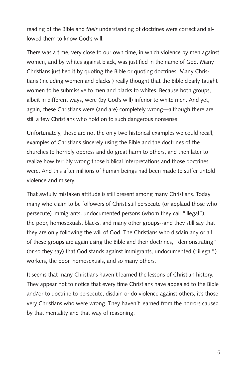reading of the Bible and *their* understanding of doctrines were correct and allowed them to know God's will.

There was a time, very close to our own time, in which violence by men against women, and by whites against black, was justified in the name of God. Many Christians justified it by quoting the Bible or quoting doctrines. Many Christians (including women and blacks!) really thought that the Bible clearly taught women to be submissive to men and blacks to whites. Because both groups, albeit in different ways, were (by God's will) inferior to white men. And yet, again, these Christians were (and are) completely wrong—although there are still a few Christians who hold on to such dangerous nonsense.

Unfortunately, those are not the only two historical examples we could recall, examples of Christians sincerely using the Bible and the doctrines of the churches to horribly oppress and do great harm to others, and then later to realize how terribly wrong those biblical interpretations and those doctrines were. And this after millions of human beings had been made to suffer untold violence and misery.

That awfully mistaken attitude is still present among many Christians. Today many who claim to be followers of Christ still persecute (or applaud those who persecute) immigrants, undocumented persons (whom they call "illegal"), the poor, homosexuals, blacks, and many other groups--and they still say that they are only following the will of God. The Christians who disdain any or all of these groups are again using the Bible and their doctrines, "demonstrating" (or so they say) that God stands against immigrants, undocumented ("illegal") workers, the poor, homosexuals, and so many others.

It seems that many Christians haven't learned the lessons of Christian history. They appear not to notice that every time Christians have appealed to the Bible and/or to doctrine to persecute, disdain or do violence against others, it's those very Christians who were wrong. They haven't learned from the horrors caused by that mentality and that way of reasoning.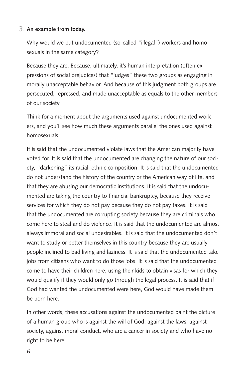#### **An example from today.** 3.

Why would we put undocumented (so-called "illegal") workers and homosexuals in the same category?

Because they are. Because, ultimately, it's human interpretation (often expressions of social prejudices) that "judges" these two groups as engaging in morally unacceptable behavior. And because of this judgment both groups are persecuted, repressed, and made unacceptable as equals to the other members of our society.

Think for a moment about the arguments used against undocumented workers, and you'll see how much these arguments parallel the ones used against homosexuals.

It is said that the undocumented violate laws that the American majority have voted for. It is said that the undocumented are changing the nature of our society, "darkening" its racial, ethnic composition. It is said that the undocumented do not understand the history of the country or the American way of life, and that they are abusing our democratic institutions. It is said that the undocumented are taking the country to financial bankruptcy, because they receive services for which they do not pay because they do not pay taxes. It is said that the undocumented are corrupting society because they are criminals who come here to steal and do violence. It is said that the undocumented are almost always immoral and social undesirables. It is said that the undocumented don't want to study or better themselves in this country because they are usually people inclined to bad living and laziness. It is said that the undocumented take jobs from citizens who want to do those jobs. It is said that the undocumented come to have their children here, using their kids to obtain visas for which they would qualify if they would only go through the legal process. It is said that if God had wanted the undocumented were here, God would have made them be born here.

In other words, these accusations against the undocumented paint the picture of a human group who is against the will of God, against the laws, against society, against moral conduct, who are a cancer in society and who have no right to be here.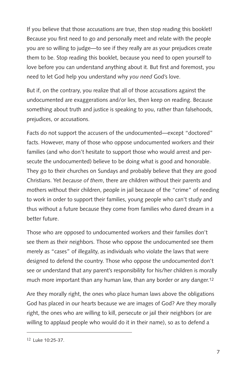If you believe that those accusations are true, then stop reading this booklet! Because you first need to go and personally meet and relate with the people you are so willing to judge—to see if they really are as your prejudices create them to be. Stop reading this booklet, because you need to open yourself to love before you can understand anything about it. But first and foremost, you need to let God help you understand why *you need* God's love.

But if, on the contrary, you realize that all of those accusations against the undocumented are exaggerations and/or lies, then keep on reading. Because something about truth and justice is speaking to you, rather than falsehoods, prejudices, or accusations.

Facts do not support the accusers of the undocumented—except "doctored" facts. However, many of those who oppose undocumented workers and their families (and who don't hesitate to support those who would arrest and persecute the undocumented) believe to be doing what is good and honorable. They go to their churches on Sundays and probably believe that they are good Christians. Yet *because of them*, there are children without their parents and mothers without their children, people in jail because of the "crime" of needing to work in order to support their families, young people who can't study and thus without a future because they come from families who dared dream in a better future.

Those who are opposed to undocumented workers and their families don't see them as their neighbors. Those who oppose the undocumented see them merely as "cases" of illegality, as individuals who violate the laws that were designed to defend the country. Those who oppose the undocumented don't see or understand that any parent's responsibility for his/her children is morally much more important than any human law, than any border or any danger.12

Are they morally right, the ones who place human laws above the obligations God has placed in our hearts because we are images of God? Are they morally right, the ones who are willing to kill, persecute or jail their neighbors (or are willing to applaud people who would do it in their name), so as to defend a

<sup>12</sup> Luke 10:25-37.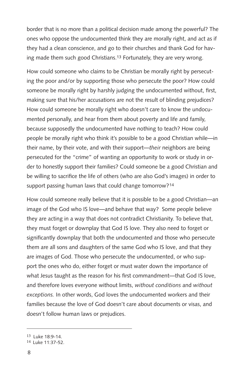border that is no more than a political decision made among the powerful? The ones who oppose the undocumented think they are morally right, and act as if they had a clean conscience, and go to their churches and thank God for having made them such good Christians.13 Fortunately, they are very wrong.

How could someone who claims to be Christian be morally right by persecuting the poor and/or by supporting those who persecute the poor? How could someone be morally right by harshly judging the undocumented without, first, making sure that his/her accusations are not the result of blinding prejudices? How could someone be morally right who doesn't care to know the undocumented personally, and hear from them about poverty and life and family, because supposedly the undocumented have nothing to teach? How could people be morally right who think it's possible to be a good Christian while—in their name, by their vote, and with their support—*their* neighbors are being persecuted for the "crime" of wanting an opportunity to work or study in order to honestly support their families? Could someone be a good Christian and be willing to sacrifice the life of others (who are also God's images) in order to support passing human laws that could change tomorrow?<sup>14</sup>

How could someone really believe that it is possible to be a good Christian—an image of the God who IS love—and behave that way? Some people believe they are acting in a way that does not contradict Christianity. To believe that, they must forget or downplay that God IS love. They also need to forget or significantly downplay that both the undocumented and those who persecute them are all sons and daughters of the same God who IS love, and that they are images of God. Those who persecute the undocumented, or who support the ones who do, either forget or must water down the importance of what Jesus taught as the reason for his first commandment—that God IS love, and therefore loves everyone without limits, *without conditions* and *without exceptions.* In other words, God loves the undocumented workers and their families because the love of God doesn't care about documents or visas, and doesn't follow human laws or prejudices.

<sup>13</sup> Luke 18:9-14.

<sup>14</sup> Luke 11:37-52.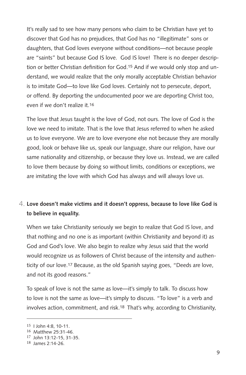It's really sad to see how many persons who claim to be Christian have yet to discover that God has no prejudices, that God has no "illegitimate" sons or daughters, that God loves everyone without conditions—not because people are "saints" but because God IS love. God IS love! There is no deeper description or better Christian definition for God.15 And if we would only stop and understand, we would realize that the only morally acceptable Christian behavior is to imitate God—to love like God loves. Certainly not to persecute, deport, or offend. By deporting the undocumented poor we are deporting Christ too, even if we don't realize it.16

The love that Jesus taught is the love of God, not ours. The love of God is the love we need to imitate. That is the love that Jesus referred to when he asked us to love everyone. We are to love everyone else not because they are morally good, look or behave like us, speak our language, share our religion, have our same nationality and citizenship, or because they love us. Instead, we are called to love them because by doing so without limits, conditions or exceptions, we are imitating the love with which God has always and will always love us.

#### **Love doesn't make victims and it doesn't oppress, because to love like God is**  4. **to believe in equality.**

When we take Christianity seriously we begin to realize that God IS love, and that nothing and no one is as important (within Christianity and beyond it) as God and God's love. We also begin to realize why Jesus said that the world would recognize us as followers of Christ because of the intensity and authenticity of our love.17 Because, as the old Spanish saying goes, "Deeds are love, and not its good reasons."

To speak of love is not the same as love—it's simply to talk. To discuss how to love is not the same as love—it's simply to discuss. "To love" is a verb and involves action, commitment, and risk.18 That's why, according to Christianity,

<sup>15</sup> I John 4:8, 10-11.

<sup>16</sup> Matthew 25:31-46.

<sup>17</sup> John 13:12-15, 31-35.

<sup>18</sup> James 2:14-26.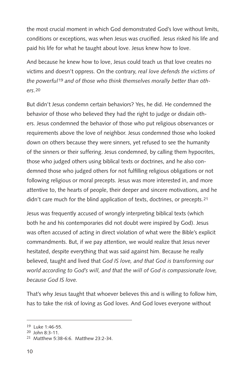the most crucial moment in which God demonstrated God's love without limits, conditions or exceptions, was when Jesus was crucified. Jesus risked his life and paid his life for what he taught about love. Jesus knew how to love.

And because he knew how to love, Jesus could teach us that love creates no victims and doesn't oppress. On the contrary, *real love defends the victims of the powerful*19 *and of those who think themselves morally better than others*.20

But didn't Jesus condemn certain behaviors? Yes, he did. He condemned the behavior of those who believed they had the right to judge or disdain others. Jesus condemned the behavior of those who put religious observances or requirements above the love of neighbor. Jesus condemned those who looked down on others because they were sinners, yet refused to see the humanity of the sinners or their suffering. Jesus condemned, by calling them hypocrites, those who judged others using biblical texts or doctrines, and he also condemned those who judged others for not fulfilling religious obligations or not following religious or moral precepts. Jesus was more interested in, and more attentive to, the hearts of people, their deeper and sincere motivations, and he didn't care much for the blind application of texts, doctrines, or precepts.21

Jesus was frequently accused of wrongly interpreting biblical texts (which both he and his contemporaries did not doubt were inspired by God). Jesus was often accused of acting in direct violation of what were the Bible's explicit commandments. But, if we pay attention, we would realize that Jesus never hesitated, despite everything that was said against him. Because he really believed, taught and lived that *God IS love, and that God is transforming our world according to God's will, and that the will of God is compassionate love, because God IS love.*

That's why Jesus taught that whoever believes this and is willing to follow him, has to take the risk of loving as God loves. And God loves everyone without

<sup>19</sup> Luke 1:46-55.

<sup>20</sup> John 8:3-11.

<sup>21</sup> Matthew 5:38-6:6. Matthew 23:2-34.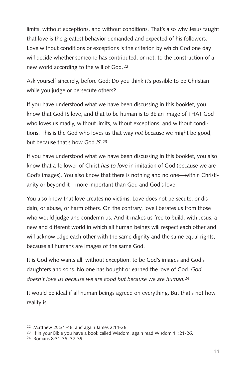limits, without exceptions, and without conditions. That's also why Jesus taught that love is the greatest behavior demanded and expected of his followers. Love without conditions or exceptions is the criterion by which God one day will decide whether someone has contributed, or not, to the construction of a new world according to the will of God.22

Ask yourself sincerely, before God: Do you think it's possible to be Christian while you judge or persecute others?

If you have understood what we have been discussing in this booklet, you know that God IS love, and that to be human is to BE an image of THAT God who loves us madly, without limits, without exceptions, and without conditions. This is the God who loves us that way *not* because we might be good, but because that's how God *IS*.23

If you have understood what we have been discussing in this booklet, you also know that a follower of Christ *has to love* in imitation of God (because we are God's images). You also know that there is nothing and no one—within Christianity or beyond it—more important than God and God's love.

You also know that love creates no victims. Love does not persecute, or disdain, or abuse, or harm others. On the contrary, love liberates us from those who would judge and condemn us. And it makes us free to build, with Jesus, a new and different world in which all human beings will respect each other and will acknowledge each other with the same dignity and the same equal rights, because all humans are images of the same God.

It is God who wants all, without exception, to be God's images and God's daughters and sons. No one has bought or earned the love of God. *God doesn't love us because we are good but because we are human.*24

It would be ideal if all human beings agreed on everything. But that's not how reality is.

<sup>22</sup> Matthew 25:31-46, and again James 2:14-26.

 $23$  If in your Bible you have a book called Wisdom, again read Wisdom 11:21-26.

<sup>24</sup> Romans 8:31-35, 37-39.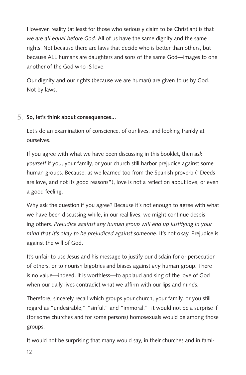However, reality (at least for those who seriously claim to be Christian) is that *we are all equal before God*. All of us have the same dignity and the same rights. Not because there are laws that decide who is better than others, but because ALL humans are daughters and sons of the same God—images to one another of the God who IS love.

Our dignity and our rights (because we are human) are given to us by God. Not by laws.

#### **So, let's think about consequences...** 5.

Let's do an examination of conscience, of our lives, and looking frankly at ourselves.

If you agree with what we have been discussing in this booklet, then *ask yourself* if you, your family, or your church still harbor prejudice against some human groups. Because, as we learned too from the Spanish proverb ("Deeds are love, and not its good reasons"), love is not a reflection about love, or even a good feeling.

Why ask the question if you agree? Because it's not enough to agree with what we have been discussing while, in our real lives, we might continue despising others. *Prejudice against any human group will end up justifying in your mind that it's okay to be prejudiced against someone.* It's not okay. Prejudice is against the will of God.

It's unfair to use Jesus and his message to justify our disdain for or persecution of others, or to nourish bigotries and biases against *any* human group. There is no value—indeed, it is worthless—to applaud and sing of the love of God when our daily lives contradict what we affirm with our lips and minds.

Therefore, sincerely recall which groups your church, your family, or you still regard as "undesirable," "sinful," and "immoral." It would not be a surprise if (for some churches and for some persons) homosexuals would be among those groups.

It would not be surprising that many would say, in their churches and in fami-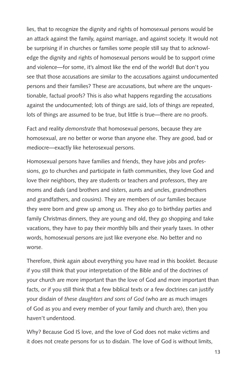lies, that to recognize the dignity and rights of homosexual persons would be an attack against the family, against marriage, and against society. It would not be surprising if in churches or families some people still say that to acknowledge the dignity and rights of homosexual persons would be to support crime and violence—for some, it's almost like the end of the world! But don't you see that those accusations are similar to the accusations against undocumented persons and their families? These are accusations, but where are the unquestionable, factual proofs? This is also what happens regarding the accusations against the undocumented; lots of things are said, lots of things are repeated, lots of things are assumed to be true, but little is true—there are no proofs.

Fact and reality *demonstrate* that homosexual persons, because they are homosexual, are no better or worse than anyone else. They are good, bad or mediocre—exactly like heterosexual persons.

Homosexual persons have families and friends, they have jobs and professions, go to churches and participate in faith communities, they love God and love their neighbors, they are students or teachers and professors, they are moms and dads (and brothers and sisters, aunts and uncles, grandmothers and grandfathers, and cousins). They are members of *our* families because they were born and grew up among us. They also go to birthday parties and family Christmas dinners, they are young and old, they go shopping and take vacations, they have to pay their monthly bills and their yearly taxes. In other words, homosexual persons are just like everyone else. No better and no worse.

Therefore, think again about everything you have read in this booklet. Because if you still think that your interpretation of the Bible and of the doctrines of your church are more important than the love of God and more important than facts, or if you still think that a few biblical texts or a few doctrines can justify your disdain of *these daughters and sons of God* (who are as much images of God as you and every member of your family and church are), then you haven't understood.

Why? Because God IS love, and the love of God does not make victims and it does not create persons for us to disdain. The love of God is without limits,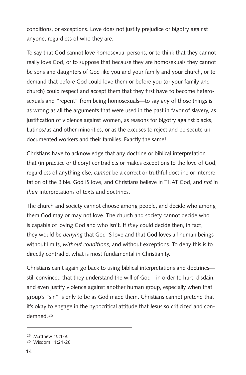conditions, or exceptions. Love does not justify prejudice or bigotry against anyone, regardless of who they are.

To say that God cannot love homosexual persons, or to think that they cannot really love God, or to suppose that because they are homosexuals they cannot be sons and daughters of God like you and your family and your church, or to demand that before God could love them or before you (or your family and church) could respect and accept them that they first have to become heterosexuals and "repent" from being homosexuals—to say *any* of those things is as wrong as all the arguments that were used in the past in favor of slavery, as justification of violence against women, as reasons for bigotry against blacks, Latinos/as and other minorities, or as the excuses to reject and persecute undocumented workers and their families. Exactly the same!

Christians have to acknowledge that any doctrine or biblical interpretation that (in practice or theory) contradicts or makes exceptions to the love of God, regardless of anything else, *cannot* be a correct or truthful doctrine or interpretation of the Bible. God IS love, and Christians believe in THAT God, and *not* in *their* interpretations of texts and doctrines.

The church and society cannot choose among people, and decide who among them God may or may not love. The church and society cannot decide who is capable of loving God and who isn't. If *they* could decide then, in fact, they would be *denying* that God IS love and that God loves all human beings without limits, *without conditions*, and without exceptions. To deny this is to directly contradict what is most fundamental in Christianity.

Christians can't again go back to using biblical interpretations and doctrines still convinced that they understand the will of God—in order to hurt, disdain, and even justify violence against another human group, especially when that group's "sin" is only to be as God made them. Christians cannot pretend that it's okay to engage in the hypocritical attitude that Jesus so criticized and condemned.25

<sup>25</sup> Matthew 15:1-9.

<sup>26</sup> Wisdom 11:21-26.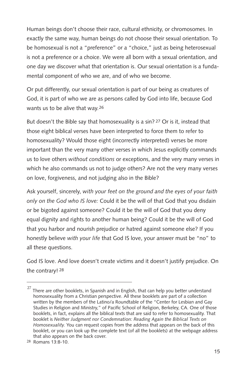Human beings don't choose their race, cultural ethnicity, or chromosomes. In exactly the same way, human beings do not choose their sexual orientation. To be homosexual is not a "preference" or a "choice," just as being heterosexual is not a preference or a choice. We were all born with a sexual orientation, and one day we discover what that orientation is. Our sexual orientation is a fundamental component of who we are, and of who we become.

Or put differently, our sexual orientation is part of our being as creatures of God, it is part of who we are as persons called by God into life, because God wants us to be alive that way.26

But doesn't the Bible say that homosexuality is a sin? 27 Or is it, instead that those eight biblical verses have been interpreted to force them to refer to homosexuality? Would those eight (incorrectly interpreted) verses be more important than the very many other verses in which Jesus explicitly commands us to love others *without conditions* or exceptions, and the very many verses in which he also commands us not to judge others? Are not the very many verses on love, forgiveness, and not judging also in the Bible?

Ask yourself, sincerely, *with your feet on the ground and the eyes of your faith only on the God who IS love:* Could it be the will of that God that you disdain or be bigoted against someone? Could it be the will of God that you deny equal dignity and rights to another human being? Could it be the will of God that you harbor and nourish prejudice or hatred against someone else? If you honestly believe *with your life* that God IS love, your answer must be "no" to all these questions.

God IS love. And love doesn't create victims and it doesn't justify prejudice. On the contrary! 28

There are other booklets, in Spanish and in English, that can help you better understand homosexuality from a Christian perspective. All these booklets are part of a collection written by the members of the Latino/a Roundtable of the "Center for Lesbian and Gay Studies in Religion and Ministry," of Pacific School of Religion, Berkeley, CA. One of those booklets, in fact, explains all the biblical texts that are said to refer to homosexuality. That booklet is *Neither Judgment nor Condemnation: Reading Again the Biblical Texts on Homosexuality.* You can request copies from the address that appears on the back of this booklet, or you can look up the complete text (of all the booklets) at the webpage address that also appears on the back cover. 27

<sup>28</sup> Romans 13:8-10.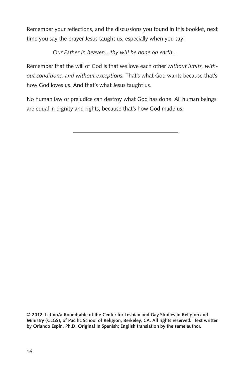Remember your reflections, and the discussions you found in this booklet, next time you say the prayer Jesus taught us, especially when you say:

*Our Father in heaven…thy will be done on earth...*

Remember that the will of God is that we love each other *without limits, without conditions, and without exceptions.* That's what God wants because that's how God loves us. And that's what Jesus taught us.

No human law or prejudice can destroy what God has done. All human beings are equal in dignity and rights, because that's how God made us.

**© 2012. Latino/a Roundtable of the Center for Lesbian and Gay Studies in Religion and Ministry (CLGS), of Pacific School of Religion, Berkeley, CA. All rights reserved. Text written by Orlando Espín, Ph.D. Original in Spanish; English translation by the same author.**